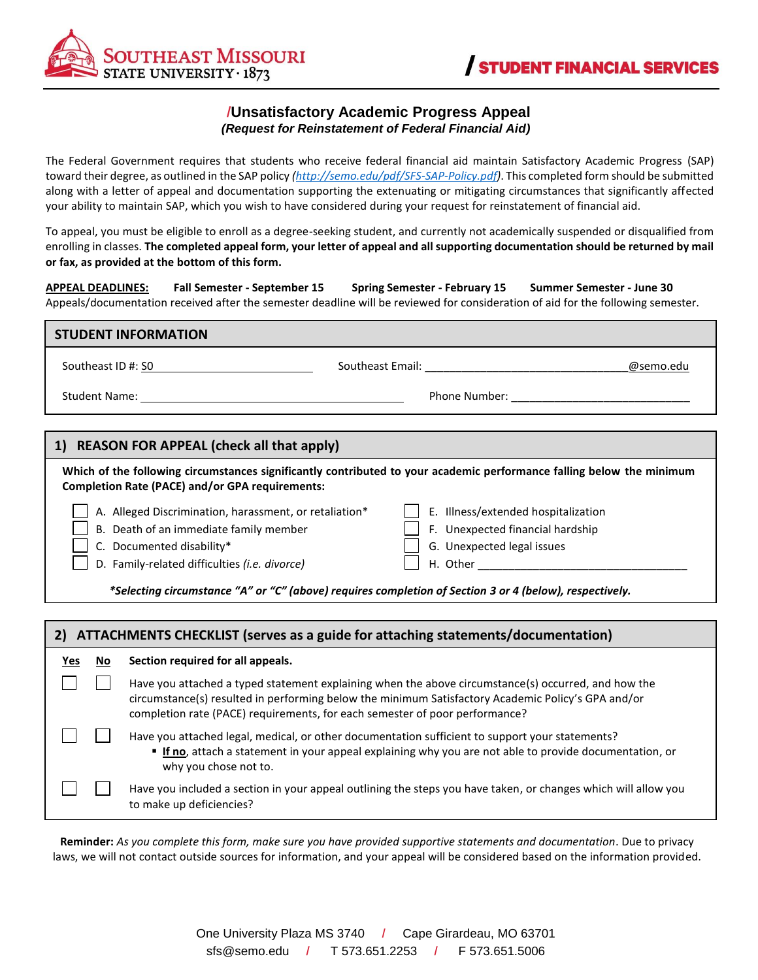

## /**Unsatisfactory Academic Progress Appeal** *(Request for Reinstatement of Federal Financial Aid)*

The Federal Government requires that students who receive federal financial aid maintain Satisfactory Academic Progress (SAP) toward their degree, as outlined in the SAP policy *[\(http://semo.edu/pdf/SFS-SAP-Policy.pdf\)](http://semo.edu/pdf/SFS-SAP-Policy.pdf)*. This completed form should be submitted along with a letter of appeal and documentation supporting the extenuating or mitigating circumstances that significantly affected your ability to maintain SAP, which you wish to have considered during your request for reinstatement of financial aid.

To appeal, you must be eligible to enroll as a degree-seeking student, and currently not academically suspended or disqualified from enrolling in classes. **The completed appeal form, your letter of appeal and all supporting documentation should be returned by mail or fax, as provided at the bottom of this form.**

**APPEAL DEADLINES: Fall Semester - September 15 Spring Semester - February 15 Summer Semester - June 30** Appeals/documentation received after the semester deadline will be reviewed for consideration of aid for the following semester.

## Southeast ID #: SO Southeast ID #: SO Southeast Email: Coutheast Email: Coutheast Email: Coutheast Email: Coutheast Email: Coutheast Email: Coutheast Email: Coutheast Email: Coutheast Email: Coutheast Email: Coutheast Emai Student Name: etc. All and the extent of the extent of the Phone Number:  $\blacksquare$ **Which of the following circumstances significantly contributed to your academic performance falling below the minimum Completion Rate (PACE) and/or GPA requirements:** A. Alleged Discrimination, harassment, or retaliation\* E. Illness/extended hospitalization **STUDENT INFORMATION 1) REASON FOR APPEAL (check all that apply)**

| B. Death of an immediate family member               |  | $\vert \vert$ F. Unexpected financial hardship |
|------------------------------------------------------|--|------------------------------------------------|
| $\mid$ C. Documented disability*                     |  | $\vert$ G. Unexpected legal issues             |
| D. Family-related difficulties <i>(i.e. divorce)</i> |  | H. Other                                       |
|                                                      |  |                                                |

*\*Selecting circumstance "A" or "C" (above) requires completion of Section 3 or 4 (below), respectively.*

| ATTACHMENTS CHECKLIST (serves as a guide for attaching statements/documentation)<br>2) |    |                                                                                                                                                                                                                                                                                          |  |  |
|----------------------------------------------------------------------------------------|----|------------------------------------------------------------------------------------------------------------------------------------------------------------------------------------------------------------------------------------------------------------------------------------------|--|--|
| Yes                                                                                    | No | Section required for all appeals.                                                                                                                                                                                                                                                        |  |  |
|                                                                                        |    | Have you attached a typed statement explaining when the above circumstance(s) occurred, and how the<br>circumstance(s) resulted in performing below the minimum Satisfactory Academic Policy's GPA and/or<br>completion rate (PACE) requirements, for each semester of poor performance? |  |  |
|                                                                                        |    | Have you attached legal, medical, or other documentation sufficient to support your statements?<br><b>If no</b> , attach a statement in your appeal explaining why you are not able to provide documentation, or<br>why you chose not to.                                                |  |  |
|                                                                                        |    | Have you included a section in your appeal outlining the steps you have taken, or changes which will allow you<br>to make up deficiencies?                                                                                                                                               |  |  |

**Reminder:** *As you complete this form, make sure you have provided supportive statements and documentation*. Due to privacy laws, we will not contact outside sources for information, and your appeal will be considered based on the information provided.